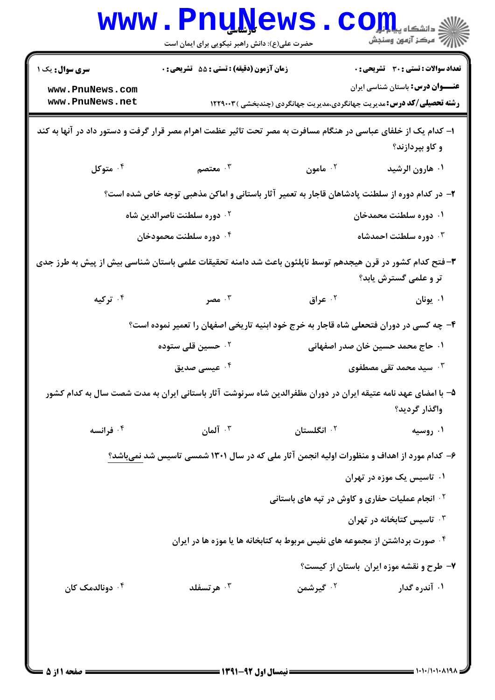|                                                                                                                                    | <b>MMM • FUNTAGMP</b><br>حضرت علی(ع): دانش راهبر نیکویی برای ایمان است                                         |                                                                               | دانشکاه پیا یا یا<br>راز آمرڪز آزمون وسنڊش                                              |
|------------------------------------------------------------------------------------------------------------------------------------|----------------------------------------------------------------------------------------------------------------|-------------------------------------------------------------------------------|-----------------------------------------------------------------------------------------|
| <b>سری سوال :</b> یک ۱<br>www.PnuNews.com                                                                                          | <b>زمان آزمون (دقیقه) : تستی : 55 تشریحی : 0</b>                                                               |                                                                               | <b>تعداد سوالات : تستی : 30 - تشریحی : 0</b><br><b>عنـــوان درس:</b> باستان شناسی ایران |
| www.PnuNews.net                                                                                                                    |                                                                                                                | <b>رشته تحصیلی/کد درس:</b> مدیریت جهانگردی،مدیریت جهانگردی (چندبخشی ) ۱۲۲۹۰۰۳ |                                                                                         |
|                                                                                                                                    | ا– کدام یک از خلفای عباسی در هنگام مسافرت به مصر تحت تاثیر عظمت اهرام مصر قرار گرفت و دستور داد در آنها به کند |                                                                               | و کاو بپردازند؟                                                                         |
| ۰۴ متوکل                                                                                                                           | ۰۳ معتصم $\cdot$                                                                                               | <sup>۲.</sup> مامون                                                           | ۰۱ هارون الرشيد                                                                         |
|                                                                                                                                    | ۲– در کدام دوره از سلطنت پادشاهان قاجار به تعمیر آثار باستانی و اماکن مذهبی توجه خاص شده است؟                  |                                                                               |                                                                                         |
| ۰۱ دوره سلطنت محمدخان<br>۰۲ دوره سلطنت ناصرالدین شاه                                                                               |                                                                                                                |                                                                               |                                                                                         |
|                                                                                                                                    | ۰۴ دوره سلطنت محمودخان                                                                                         |                                                                               | ۰ <sup>۳</sup> دوره سلطنت احمدشاه                                                       |
| ۳- فتح کدام کشور در قرن هیجدهم توسط ناپلئون باعث شد دامنه تحقیقات علمی باستان شناسی بیش از پیش به طرز جدی<br>تر و علمی گسترش یابد؟ |                                                                                                                |                                                                               |                                                                                         |
| ۰۴ ترکیه                                                                                                                           | ۰۳ مصر                                                                                                         | ۰۲ عراق                                                                       | ۰۱ يونان                                                                                |
|                                                                                                                                    | ۴- چه کسی در دوران فتحعلی شاه قاجار به خرج خود ابنیه تاریخی اصفهان را تعمیر نموده است؟                         |                                                                               |                                                                                         |
|                                                                                                                                    | ۰ <sup>۲</sup> حسین قلی ستوده                                                                                  |                                                                               | ۰۱ حاج محمد حسین خان صدر اصفهانی                                                        |
|                                                                                                                                    | ۰۴ عیس <i>ی صد</i> یق                                                                                          |                                                                               | ۰ <sup>۳</sup> سید محمد تقی مصطفوی                                                      |
|                                                                                                                                    | ۵– با امضای عهد نامه عتیقه ایران در دوران مظفرالدین شاه سرنوشت آثار باستانی ایران به مدت شصت سال به کدام کشور  |                                                                               | واگذار گرديد؟                                                                           |
| ۰۴ فرانسه                                                                                                                          | ا آلمان $\cdot$                                                                                                | ۰ <sup>۲</sup> انگلستان                                                       | ۰۱ روسیه                                                                                |
|                                                                                                                                    | ۶– کدام مورد از اهداف و منظورات اولیه انجمن آثار ملی که در سال ۱۳۰۱ شمسی تاسیس شد نمیباشد؟                     |                                                                               |                                                                                         |
| ۰۱ تاسیس یک موزه در تهران                                                                                                          |                                                                                                                |                                                                               |                                                                                         |
|                                                                                                                                    |                                                                                                                | <b>گ انجام عملیات حفاری و کاوش در تپه های باستانی</b>                         |                                                                                         |
|                                                                                                                                    |                                                                                                                |                                                                               | ا تاسیس کتابخانه در تهران $\cdot$                                                       |
|                                                                                                                                    | <sup>۰۴</sup> صورت برداشتن از مجموعه های نفیس مربوط به کتابخانه ها یا موزه ها در ایران                         |                                                                               |                                                                                         |
|                                                                                                                                    |                                                                                                                |                                                                               | ۷- طرح و نقشه موزه ایران باستان از کیست؟                                                |
| ۰۴ دونالدمک کان                                                                                                                    | هر تسفلد $\cdot$ "                                                                                             | ۰ <sup>۲</sup> گیرشمن                                                         | ۰۱ آندره گدار                                                                           |
|                                                                                                                                    |                                                                                                                |                                                                               |                                                                                         |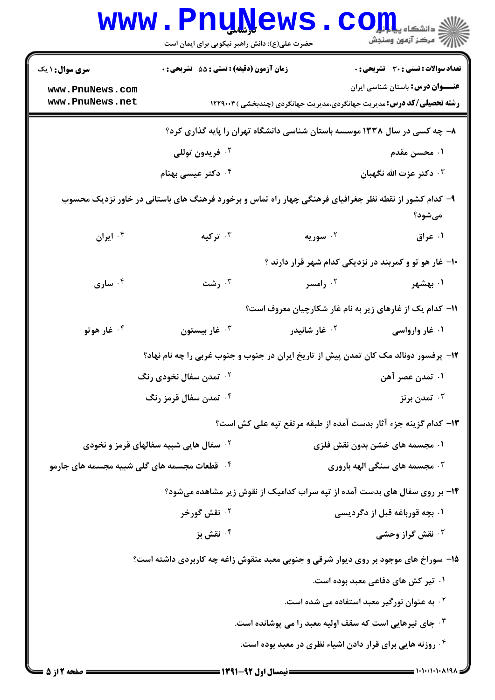|                                                                                                                 | www.PnuNews<br>حضرت علی(ع): دانش راهبر نیکویی برای ایمان است                         |                                | ی<br>ی دانشکاه پ <b>یا با بال</b><br>أأأآ مركز آزمون وسنجش                                                               |  |
|-----------------------------------------------------------------------------------------------------------------|--------------------------------------------------------------------------------------|--------------------------------|--------------------------------------------------------------------------------------------------------------------------|--|
| سری سوال: ۱ یک                                                                                                  | زمان آزمون (دقیقه) : تستی : 55 آتشریحی : 0                                           |                                | <b>تعداد سوالات : تستی : 30 ٪ تشریحی : 0</b>                                                                             |  |
| www.PnuNews.com<br>www.PnuNews.net                                                                              |                                                                                      |                                | <b>عنـــوان درس:</b> باستان شناسی ایران<br><b>رشته تحصیلی/کد درس:</b> مدیریت جهانگردی،مدیریت جهانگردی (چندبخشی ) ۱۲۲۹۰۰۳ |  |
|                                                                                                                 | ۸– چه کسی در سال ۱۳۳۸ موسسه باستان شناسی دانشگاه تهران را پایه گذاری کرد؟            |                                |                                                                                                                          |  |
|                                                                                                                 | ۰ <sup>۲</sup> فريدون توللي                                                          |                                | ۰۱ محسن مقدم                                                                                                             |  |
|                                                                                                                 | ۰ <sup>۴</sup> دکتر عیسی بهنام                                                       |                                | ۰۳ دکتر عزت الله نگهبان                                                                                                  |  |
| ۹– کدام کشور از نقطه نظر جغرافیای فرهنگی چهار راه تماس و برخورد فرهنگ های باستانی در خاور نزدیک محسوب<br>مىشود؟ |                                                                                      |                                |                                                                                                                          |  |
| ۰۴ ایران                                                                                                        | ترکیه $\cdot$ ۳                                                                      | ۰ <sup>۲</sup> سوریه           | ۰۱ عراق                                                                                                                  |  |
|                                                                                                                 |                                                                                      |                                | ۱۰– غار هو تو و کمربند در نزدیکی کدام شهر قرار دارند ؟                                                                   |  |
| ۰۴ ساری                                                                                                         | رشت $\cdot^{\,}$                                                                     | ۰ <sup>۲</sup> رامسر           | ۰۱ بهشهر                                                                                                                 |  |
|                                                                                                                 |                                                                                      |                                | 11- کدام یک از غارهای زیر به نام غار شکارچیان معروف است؟                                                                 |  |
| ۰ <sup>۴</sup> غار هوتو                                                                                         | غار بيستون $\cdot^{\mathtt{w}}$                                                      | ۰ <sup>۲</sup> غار شانیدر      | ۰۱ غار وارواسی                                                                                                           |  |
|                                                                                                                 | ۱۲- پرفسور دونالد مک کان تمدن پیش از تاریخ ایران در جنوب و جنوب غربی را چه نام نهاد؟ |                                |                                                                                                                          |  |
| <b>گ تمدن سفال نخودی رنگ</b>                                                                                    |                                                                                      | ۰۱ تمدن عصر آهن                |                                                                                                                          |  |
| ۰۴ تمدن سفال قرمز رنگ                                                                                           |                                                                                      |                                | تمدن برنز $\cdot$ "                                                                                                      |  |
|                                                                                                                 |                                                                                      |                                | ۱۳- کدام گزینه جزء آثار بدست آمده از طبقه مرتفع تپه علی کش است؟                                                          |  |
| <b>گ سفال هایی شبیه سفالهای قرمز و نخودی</b>                                                                    |                                                                                      | ۰۱ مجسمه های خشن بدون نقش فلزی |                                                                                                                          |  |
| <sup>۴</sup> ۰ قطعات مجسمه های گلی شبیه مجسمه های جارمو                                                         |                                                                                      |                                | ه مجسمه های سنگی الهه باروری *                                                                                           |  |
|                                                                                                                 |                                                                                      |                                | ۱۴- بر روی سفال های بدست آمده از تپه سراب کدامیک از نقوش زیر مشاهده میشود؟                                               |  |
| ۰ <sup>۲</sup> نقش گورخر                                                                                        |                                                                                      | ۰۱ بچه قورباغه قبل از دگردیسی  |                                                                                                                          |  |
|                                                                                                                 | نقش بز $\cdot$ ۴                                                                     |                                | نقش گراز وحشی $\cdot^{\mathtt{w}}$                                                                                       |  |
| ۱۵- سوراخ های موجود بر روی دیوار شرقی و جنوبی معبد منقوش زاغه چه کاربردی داشته است؟                             |                                                                                      |                                |                                                                                                                          |  |
|                                                                                                                 |                                                                                      |                                | ۰۱ تیر کش های دفاعی معبد بوده است.                                                                                       |  |
|                                                                                                                 |                                                                                      |                                | <sup>۲</sup> ۰ به عنوان نورگیر معبد استفاده می شده است.                                                                  |  |
|                                                                                                                 |                                                                                      |                                | <b>۰۳ جای تیرهایی است که سقف اولیه معبد را می پوشانده است.</b>                                                           |  |
|                                                                                                                 |                                                                                      |                                | ۰۴ روزنه هایی برای قرار دادن اشیاء نظری در معبد بوده است.                                                                |  |
|                                                                                                                 |                                                                                      |                                |                                                                                                                          |  |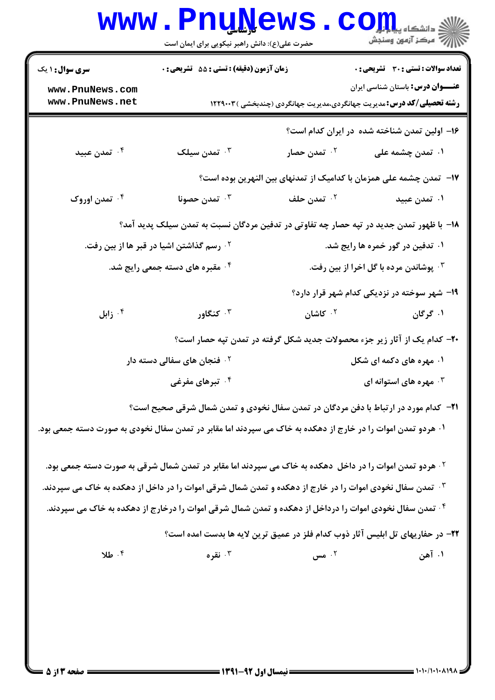| <b>سری سوال : ۱ یک</b>                                                                                                 | زمان آزمون (دقیقه) : تستی : 55 آتشریحی : 0                                                                           |                                                                                | <b>تعداد سوالات : تستی : 30 ٪ تشریحی : 0</b> |
|------------------------------------------------------------------------------------------------------------------------|----------------------------------------------------------------------------------------------------------------------|--------------------------------------------------------------------------------|----------------------------------------------|
| www.PnuNews.com<br>www.PnuNews.net                                                                                     |                                                                                                                      | <b>رشته تحصیلی/کد درس:</b> مدیریت جهانگردی،مدیریت جهانگردی (چندبخشی ) ۱۲۲۹۰۰۳  | <b>عنـــوان درس:</b> باستان شناسی ایران      |
|                                                                                                                        |                                                                                                                      | ۱۶– اولین تمدن شناخته شده در ایران کدام است؟                                   |                                              |
| ۰۴ تمدن عبید                                                                                                           | تمدن سیلک $\cdot^{\mathsf{r}}$                                                                                       | ۰۲ تمدن <i>حص</i> ار                                                           | ۰۱ تمدن چشمه علی                             |
|                                                                                                                        |                                                                                                                      | ۱۷– تمدن چشمه علی همزمان با کدامیک از تمدنهای بین النهرین بوده است؟            |                                              |
| ۰۴ تمدن اوروک                                                                                                          | ۰ <sup>۳</sup> تمدن حصونا                                                                                            | ۰ <sup>۲</sup> تمدن حلف                                                        | ۰۱ تمدن عبید                                 |
| ۱۸– با ظهور تمدن جدید در تپه حصار چه تفاوتی در تدفین مردگان نسبت به تمدن سیلک پدید آمد؟                                |                                                                                                                      |                                                                                |                                              |
|                                                                                                                        | <sup>۲</sup> ۰ رسم گذاشتن اشیا در قبر ها از بین رفت.                                                                 |                                                                                | ۰۱ تدفین در گور خمره ها رایج شد.             |
|                                                                                                                        | ۰۴ مقبره های دسته جمعی رایج شد.                                                                                      |                                                                                | ۰۳ پوشاندن مرده با گل اخرا از بین رفت.       |
|                                                                                                                        |                                                                                                                      |                                                                                | ۱۹- شهر سوخته در نزدیکی کدام شهر قرار دارد؟  |
| زابل $\cdot$ $^{\mathsf{f}}$                                                                                           | کنگاور $\cdot$                                                                                                       | ۰ <sup>۲</sup> کاشان                                                           | ۰۱ گرگان                                     |
|                                                                                                                        |                                                                                                                      | +۲- کدام یک از آثار زیر جزء محصولات جدید شکل گرفته در تمدن تپه حصار است؟       |                                              |
|                                                                                                                        | <sup>۲ .</sup> فنجان های سفالی دسته دار                                                                              |                                                                                | ۰۱ مهره های دکمه ای شکل                      |
|                                                                                                                        | ۰۴ تبرهای مفرغی                                                                                                      |                                                                                | مهره های استوانه ای $\cdot^{\mathsf{r}}$     |
|                                                                                                                        | <b>۲۱</b> - کدام مورد در ارتباط با دفن مردگان در تمدن سفال نخودی و تمدن شمال شرقی صحیح است؟                          |                                                                                |                                              |
| ۰۱ هردو تمدن اموات را در خارج از دهکده به خاک می سپردند اما مقابر در تمدن سفال نخودی به صورت دسته جمعی بود.            |                                                                                                                      |                                                                                |                                              |
|                                                                                                                        | <sup>۲.</sup> هردو تمدن اموات را در داخل ً دهکده به خاک می سپردند اما مقابر در تمدن شمال شرقی به صورت دسته جمعی بود. |                                                                                |                                              |
| ۰ <sup>۳ ت</sup> مدن سفال نخودی اموات را در خارج از دهکده و تمدن شمال شرقی اموات را در داخل از دهکده به خاک می سپردند. |                                                                                                                      |                                                                                |                                              |
| <sup>۴.</sup> تمدن سفال نخودی اموات را درداخل از دهکده و تمدن شمال شرقی اموات را درخارج از دهکده به خاک می سپردند.     |                                                                                                                      |                                                                                |                                              |
|                                                                                                                        |                                                                                                                      | ٢٢- در حفاريهاي تل ابليس آثار ذوب كدام فلز در عميق ترين لايه ها بدست امده است؟ |                                              |
| ۰۴ طلا                                                                                                                 | ۰۳ نقره                                                                                                              | ۰۲ مس                                                                          | ۰۱ آهن                                       |
|                                                                                                                        |                                                                                                                      |                                                                                |                                              |
|                                                                                                                        |                                                                                                                      |                                                                                |                                              |
|                                                                                                                        |                                                                                                                      |                                                                                |                                              |
|                                                                                                                        |                                                                                                                      |                                                                                |                                              |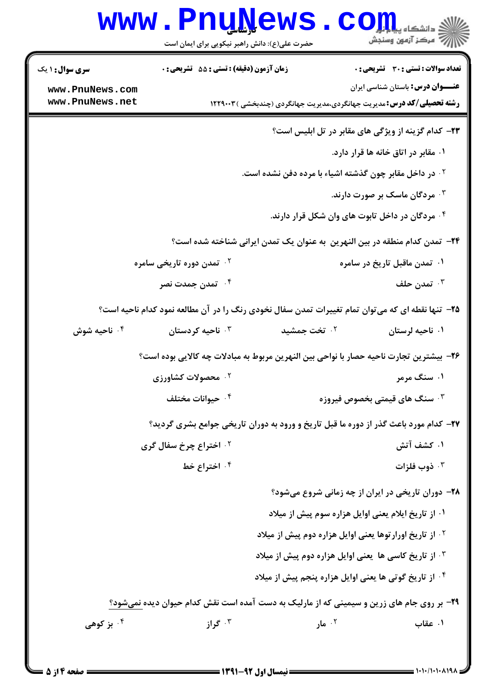|                                                                                                   | www.PnuNews.<br>حضرت علی(ع): دانش راهبر نیکویی برای ایمان است |                                                                                                   | الله دانشکاه پیالی است.<br>الله اسکن آزمون وسنجش           |
|---------------------------------------------------------------------------------------------------|---------------------------------------------------------------|---------------------------------------------------------------------------------------------------|------------------------------------------------------------|
| <b>سری سوال : ۱ یک</b>                                                                            | <b>زمان آزمون (دقیقه) : تستی : 55 تشریحی : 0</b>              |                                                                                                   | <b>تعداد سوالات : تستی : 30 ٪ تشریحی : 0</b>               |
| www.PnuNews.com<br>www.PnuNews.net                                                                |                                                               | <b>رشته تحصیلی/کد درس:</b> مدیریت جهانگردی،مدیریت جهانگردی (چندبخشی ) ۱۲۲۹۰۰۳                     | <b>عنـــوان درس:</b> باستان شناسی ایران                    |
|                                                                                                   |                                                               |                                                                                                   | <b>۲۳</b> - کدام گزینه از ویژگی های مقابر در تل ابلیس است؟ |
|                                                                                                   |                                                               |                                                                                                   | ۰۱ مقابر در اتاق خانه ها قرار دارد.                        |
|                                                                                                   |                                                               | <sup>۲</sup> ۰ در داخل مقابر چون گذشته اشیاء با مرده دفن نشده است.                                |                                                            |
|                                                                                                   |                                                               |                                                                                                   | ۰۳ مردگان ماسک بر صورت دارند.                              |
|                                                                                                   |                                                               |                                                                                                   | ۰۴ مردگان در داخل تابوت های وان شکل قرار دارند.            |
|                                                                                                   |                                                               | <b>۲۴</b> - تمدن کدام منطقه در بین النهرین ً به عنوان یک تمدن ایرانی شناخته شده است؟              |                                                            |
|                                                                                                   | ۰ <sup>۲ .</sup> تمدن دوره تاریخی سامره                       |                                                                                                   | ۰۱ تمدن ماقبل تاریخ در سامره                               |
|                                                                                                   | ۰ <sup>۴</sup> تمدن جمدت نصر                                  |                                                                                                   | تمدن حلف $\cdot^{\mathtt{w}}$                              |
| ۲۵- تنها نقطه ای که می توان تمام تغییرات تمدن سفال نخودی رنگ را در آن مطالعه نمود کدام ناحیه است؟ |                                                               |                                                                                                   |                                                            |
| ۰ <sup>۴</sup> ناحیه شوش                                                                          | استان ناحیه کردستان $\cdot$                                   | ۰۲ تخت جمشید                                                                                      | ۰۱ ناحیه لرستان                                            |
|                                                                                                   |                                                               | ۲۶– بیشترین تجارت ناحیه حصار با نواحی بین النهرین مربوط به مبادلات چه کالایی بوده است؟            |                                                            |
|                                                                                                   | <b>10 محصولات کشاورزی</b>                                     |                                                                                                   | ۰۱ سنگ مرمر                                                |
|                                                                                                   | ۰۴ حیوانات مختلف                                              |                                                                                                   | ۰ <sup>۳</sup> سنگ های قیمتی بخصوص فیروزه                  |
|                                                                                                   |                                                               | ۲۷- کدام مورد باعث گذر از دوره ما قبل تاریخ و ورود به دوران تاریخی جوامع بشری گردید؟              |                                                            |
|                                                                                                   | <b>10 اختراع چرخ سفال گری</b>                                 |                                                                                                   | ۰۱ کشف آتش                                                 |
|                                                                                                   | ۰۴ اختراع خط                                                  |                                                                                                   | ذوب فلزات $\cdot$                                          |
|                                                                                                   |                                                               |                                                                                                   | <b>۲۸</b> - دوران تاریخی در ایران از چه زمانی شروع میشود؟  |
|                                                                                                   |                                                               |                                                                                                   | ۰۱ از تاریخ ایلام یعنی اوایل هزاره سوم پیش از میلاد        |
|                                                                                                   |                                                               | <sup>۲</sup> ۰ از تاریخ اورارتوها یعنی اوایل هزاره دوم پیش از میلاد                               |                                                            |
|                                                                                                   |                                                               | ۰۳ از تاریخ کاسی ها یعنی اوایل هزاره دوم پیش از میلاد                                             |                                                            |
|                                                                                                   |                                                               | <sup>۴</sup> . از تاریخ گوتی ها یعنی اوایل هزاره پنجم پیش از میلاد                                |                                                            |
|                                                                                                   |                                                               | <b>۲۹</b> - بر روی جام های زرین و سیمینی که از مارلیک به دست آمده است نقش کدام حیوان دیده نمیشود؟ |                                                            |
| ۰ <sup>۴</sup> بز کوهی                                                                            | ۰۳ گراز                                                       | ۰۲ مار $\cdot$                                                                                    | ۰۱ عقاب                                                    |